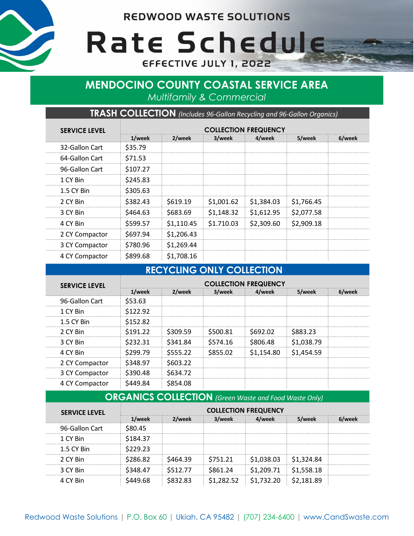**REDWOOD WASTE SOLUTIONS** 



Rate Schedule EFFECTIVE JULY 1, 2022

# **MENDOCINO COUNTY COASTAL SERVICE AREA** *Multifamily & Commercial*

**TRASH COLLECTION** *(Includes 96-Gallon Recycling and 96-Gallon Organics)*

| <b>SERVICE LEVEL</b> | <b>COLLECTION FREQUENCY</b> |            |            |            |            |        |
|----------------------|-----------------------------|------------|------------|------------|------------|--------|
|                      | 1/week                      | 2/week     | 3/week     | 4/week     | 5/week     | 6/week |
| 32-Gallon Cart       | \$35.79                     |            |            |            |            |        |
| 64-Gallon Cart       | \$71.53                     |            |            |            |            |        |
| 96-Gallon Cart       | \$107.27                    |            |            |            |            |        |
| 1 CY Bin             | \$245.83                    |            |            |            |            |        |
| 1.5 CY Bin           | \$305.63                    |            |            |            |            |        |
| 2 CY Bin             | \$382.43                    | \$619.19   | \$1,001.62 | \$1,384.03 | \$1,766.45 |        |
| 3 CY Bin             | \$464.63                    | \$683.69   | \$1,148.32 | \$1,612.95 | \$2,077.58 |        |
| 4 CY Bin             | \$599.57                    | \$1,110.45 | \$1.710.03 | \$2,309.60 | \$2,909.18 |        |
| 2 CY Compactor       | \$697.94                    | \$1,206.43 |            |            |            |        |
| 3 CY Compactor       | \$780.96                    | \$1,269.44 |            |            |            |        |
| 4 CY Compactor       | \$899.68                    | \$1,708.16 |            |            |            |        |

### **RECYCLING ONLY COLLECTION**

| <b>SERVICE LEVEL</b> | <b>COLLECTION FREQUENCY</b> |          |          |            |            |        |
|----------------------|-----------------------------|----------|----------|------------|------------|--------|
|                      | 1/week                      | 2/week   | 3/week   | 4/week     | 5/week     | 6/week |
| 96-Gallon Cart       | \$53.63                     |          |          |            |            |        |
| 1 CY Bin             | \$122.92                    |          |          |            |            |        |
| 1.5 CY Bin           | \$152.82                    |          |          |            |            |        |
| 2 CY Bin             | \$191.22                    | \$309.59 | S500.81  | S692.02    | \$883.23   |        |
| 3 CY Bin             | S232.31                     | 5341 84  | \$574.16 | \$806.48   | \$1,038.79 |        |
| 4 CY Bin             | \$299.79                    | S555.22  | \$855.02 | \$1.154.80 | \$1,454.59 |        |
| 2 CY Compactor       | \$348.97                    | \$603.22 |          |            |            |        |
| 3 CY Compactor       | S390.48                     | \$634.72 |          |            |            |        |
| <br>4 CY Compactor   | S449.84                     | \$854.08 |          |            |            |        |

# **ORGANICS COLLECTION** *(Green Waste and Food Waste Only)*

| <b>SERVICE LEVEL</b> | <b>COLLECTION FREQUENCY</b> |        |          |           |                        |  |
|----------------------|-----------------------------|--------|----------|-----------|------------------------|--|
|                      | L/week                      | veek   | 3/week   |           | NAAk                   |  |
| 96-Gallon Cart       | S80.45                      |        |          |           |                        |  |
| 1 CY Bin             | \$184.37                    |        |          |           |                        |  |
| 1.5 CY Bin           | 29.23                       |        |          |           |                        |  |
| 2 CY Bin             | 3286.82                     | IGA 39 | \$751.21 | .038.03   | S <sub>1</sub> .324.84 |  |
| 3 CY Bin             | \$348.47                    | 12 77. | IG1 24   | 209.71    | 558 18                 |  |
| 4 CY Rin             |                             |        | .282.52  | S1.732.20 | 181.89                 |  |